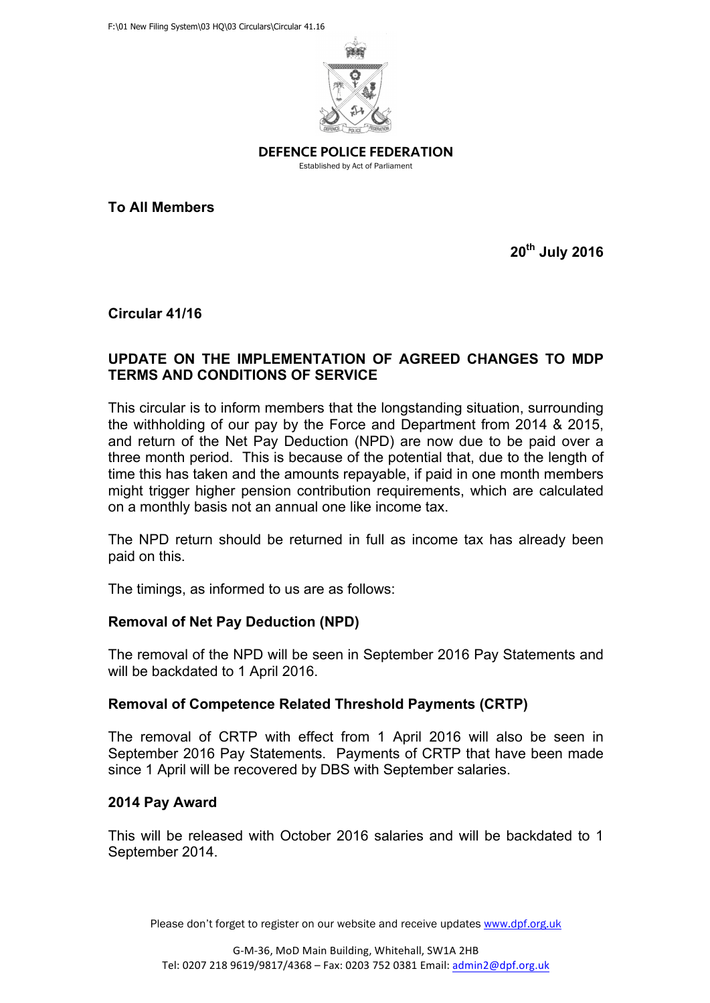

DEFENCE POLICE FEDERATION

Established by Act of Parliament

**To All Members**

**20th July 2016**

**Circular 41/16**

### **UPDATE ON THE IMPLEMENTATION OF AGREED CHANGES TO MDP TERMS AND CONDITIONS OF SERVICE**

This circular is to inform members that the longstanding situation, surrounding the withholding of our pay by the Force and Department from 2014 & 2015, and return of the Net Pay Deduction (NPD) are now due to be paid over a three month period. This is because of the potential that, due to the length of time this has taken and the amounts repayable, if paid in one month members might trigger higher pension contribution requirements, which are calculated on a monthly basis not an annual one like income tax.

The NPD return should be returned in full as income tax has already been paid on this.

The timings, as informed to us are as follows:

# **Removal of Net Pay Deduction (NPD)**

The removal of the NPD will be seen in September 2016 Pay Statements and will be backdated to 1 April 2016.

# **Removal of Competence Related Threshold Payments (CRTP)**

The removal of CRTP with effect from 1 April 2016 will also be seen in September 2016 Pay Statements. Payments of CRTP that have been made since 1 April will be recovered by DBS with September salaries.

# **2014 Pay Award**

This will be released with October 2016 salaries and will be backdated to 1 September 2014.

Please don't forget to register on our website and receive updates www.dpf.org.uk